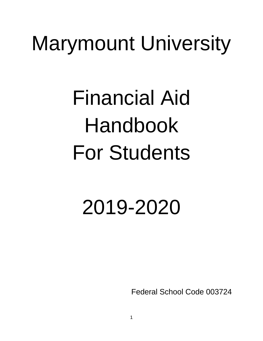# Marymount University

# Financial Aid Handbook For Students

# 2019-2020

Federal School Code 003724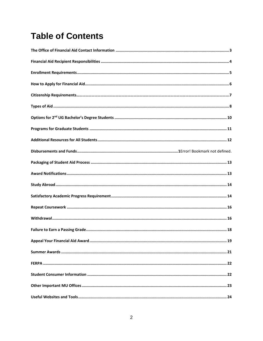# **Table of Contents**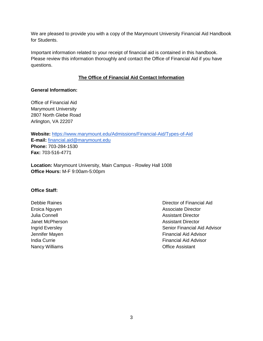We are pleased to provide you with a copy of the Marymount University Financial Aid Handbook for Students.

Important information related to your receipt of financial aid is contained in this handbook. Please review this information thoroughly and contact the Office of Financial Aid if you have questions.

# **The Office of Financial Aid Contact Information**

#### **General Information:**

Office of Financial Aid Marymount University 2807 North Glebe Road Arlington, VA 22207

**Website:** <https://www.marymount.edu/Admissions/Financial-Aid/Types-of-Aid> **E-mail:** [financial.aid@marymount.edu](mailto:financial.aid@marymount.edu) **Phone:** 703-284-1530 **Fax:** 703-516-4771

**Location:** Marymount University, Main Campus - Rowley Hall 1008 **Office Hours:** M-F 9:00am-5:00pm

#### **Office Staff:**

Nancy Williams **Nancy Williams Nancy Williams Office Assistant** 

Debbie Raines Director of Financial Aid Eroica Nguyen **Associate Director** Associate Director Julia Connell Assistant Director Janet McPherson Assistant Director Ingrid Eversley Senior Financial Aid Advisor Jennifer Mayen **Financial Aid Advisor** India Currie **Financial Aid Advisor** Financial Aid Advisor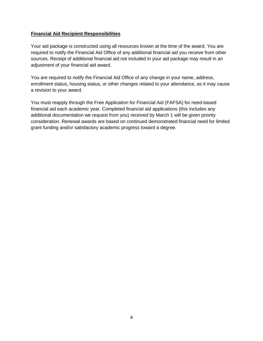#### **Financial Aid Recipient Responsibilities**

Your aid package is constructed using all resources known at the time of the award. You are required to notify the Financial Aid Office of any additional financial aid you receive from other sources. Receipt of additional financial aid not included in your aid package may result in an adjustment of your financial aid award.

You are required to notify the Financial Aid Office of any change in your name, address, enrollment status, housing status, or other changes related to your attendance, as it may cause a revision to your award.

You must reapply through the Free Application for Financial Aid (FAFSA) for need-based financial aid each academic year. Completed financial aid applications (this includes any additional documentation we request from you) received by March 1 will be given priority consideration. Renewal awards are based on continued demonstrated financial need for limited grant funding and/or satisfactory academic progress toward a degree.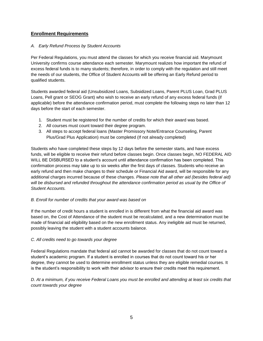# **Enrollment Requirements**

#### *A. Early Refund Process by Student Accounts*

Per Federal Regulations, you must attend the classes for which you receive financial aid. Marymount University confirms course attendance each semester. Marymount realizes how important the refund of excess federal funds is to many students; therefore, in order to comply with the regulation and still meet the needs of our students, the Office of Student Accounts will be offering an Early Refund period to qualified students.

Students awarded federal aid (Unsubsidized Loans, Subsidized Loans, Parent PLUS Loan, Grad PLUS Loans, Pell grant or SEOG Grant) who wish to receive an early refund of any excess federal funds (if applicable) before the attendance confirmation period, must complete the following steps no later than 12 days before the start of each semester.

- 1. Student must be registered for the number of credits for which their award was based.
- 2. All courses must count toward their degree program.
- 3. All steps to accept federal loans (Master Promissory Note/Entrance Counseling, Parent Plus/Grad Plus Application) must be completed (If not already completed)

Students who have completed these steps by 12 days before the semester starts, and have excess funds, will be eligible to receive their refund before classes begin. Once classes begin, NO FEDERAL AID WILL BE DISBURSED to a student's account until attendance confirmation has been completed. This confirmation process may take up to six weeks after the first days of classes. Students who receive an early refund and then make changes to their schedule or Financial Aid award, will be responsible for any additional charges incurred because of these changes. *Please note that all other aid (besides federal aid)*  will be disbursed and refunded throughout the attendance confirmation period as usual by the Office of *Student Accounts.* 

#### *B. Enroll for number of credits that your award was based on*

If the number of credit hours a student is enrolled in is different from what the financial aid award was based on, the Cost of Attendance of the student must be recalculated, and a new determination must be made of financial aid eligibility based on the new enrollment status. Any ineligible aid must be returned, possibly leaving the student with a student accounts balance.

#### *C. All credits need to go towards your degree*

Federal Regulations mandate that federal aid cannot be awarded for classes that do not count toward a student's academic program. If a student is enrolled in courses that do not count toward his or her degree, they cannot be used to determine enrollment status unless they are eligible remedial courses. It is the student's responsibility to work with their advisor to ensure their credits meet this requirement.

*D. At a minimum, if you receive Federal Loans you must be enrolled and attending at least six credits that count towards your degree*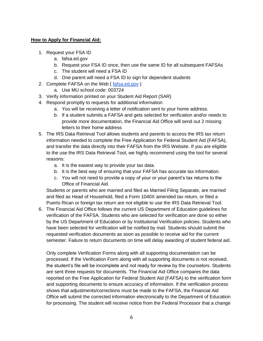#### **How to Apply for Financial Aid:**

- 1. Request your FSA ID
	- a. fafsa.ed.gov
	- b. Request your FSA ID once, then use the same ID for all subsequent FAFSAs
	- c. The student will need a FSA ID
	- d. One parent will need a FSA ID to sign for dependent students
- 2. Complete FAFSA on the Web ( [fafsa.ed.gov](https://fafsa.ed.gov/spa/fafsa/?locale=en_US) )
	- a. Use MU school code: 003724
- 3. Verify information printed on your Student Aid Report (SAR)
- 4. Respond promptly to requests for additional information
	- a. You will be receiving a letter of notification sent to your home address.
	- b. If a student submits a FAFSA and gets selected for verification and/or needs to provide more documentation, the Financial Aid Office will send out 2 missing letters to their home address
- 5. The IRS Data Retrieval Tool allows students and parents to access the IRS tax return information needed to complete the Free Application for Federal Student Aid (FAFSA), and transfer the data directly into their FAFSA from the IRS Website. If you are eligible to the use the IRS Data Retrieval Tool, we highly recommend using the tool for several reasons:
	- a. It is the easiest way to provide your tax data.
	- b. It is the best way of ensuring that your FAFSA has accurate tax information.
	- c. You will not need to provide a copy of your or your parent's tax returns to the Office of Financial Aid.

Students or parents who are married and filed as Married Filing Separate, are married and filed as Head of Household, filed a Form 1040X amended tax return, or filed a Puerto Rican or foreign tax return are not eligible to use the IRS Data Retrieval Tool.

6. The Financial Aid Office follows the current US Department of Education guidelines for verification of the FAFSA. Students who are selected for verification are done so either by the US Department of Education or by Institutional Verification policies. Students who have been selected for verification will be notified by mail. Students should submit the requested verification documents as soon as possible to receive aid for the current semester. Failure to return documents on time will delay awarding of student federal aid.

Only complete Verification Forms along with all supporting documentation can be processed. If the Verification Form along with all supporting documents is not received, the student's file will be incomplete and not ready for review by the counselors. Students are sent three requests for documents. The Financial Aid Office compares the data reported on the Free Application for Federal Student Aid (FAFSA) to the verification form and supporting documents to ensure accuracy of information. If the verification process shows that adjustments/corrections must be made to the FAFSA, the Financial Aid Office will submit the corrected information electronically to the Department of Education for processing. The student will receive notice from the Federal Processor that a change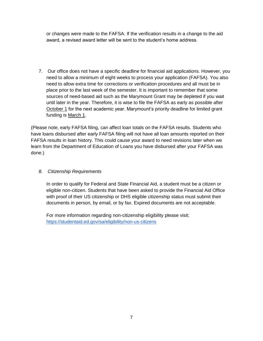or changes were made to the FAFSA. If the verification results in a change to the aid award, a revised award letter will be sent to the student's home address.

7. Our office does not have a specific deadline for financial aid applications. However, you need to allow a minimum of eight weeks to process your application (FAFSA). You also need to allow extra time for corrections or verification procedures and all must be in place prior to the last week of the semester. It is important to remember that some sources of need-based aid such as the Marymount Grant may be depleted if you wait until later in the year. Therefore, it is wise to file the FAFSA as early as possible after October 1 for the next academic year. Marymount's priority deadline for limited grant funding is March 1.

(Please note, early FAFSA filing, can affect loan totals on the FAFSA results. Students who have loans disbursed after early FAFSA filing will not have all loan amounts reported on their FAFSA results in loan history. This could cause your award to need revisions later when we learn from the Department of Education of Loans you have disbursed after your FAFSA was done.)

# *8. Citizenship Requirements*

In order to qualify for Federal and State Financial Aid, a student must be a citizen or eligible non-citizen. Students that have been asked to provide the Financial Aid Office with proof of their US citizenship or DHS eligible citizenship status must submit their documents in person, by email, or by fax. Expired documents are not acceptable.

For more information regarding non-citizenship eligibility please visit; <https://studentaid.ed.gov/sa/eligibility/non-us-citizens>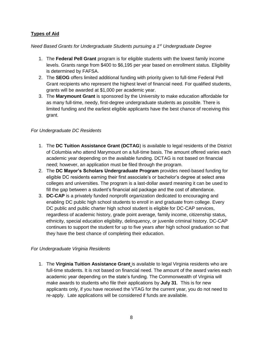# **Types of Aid**

# *Need Based Grants for Undergraduate Students pursuing a 1st Undergraduate Degree*

- 1. The **Federal Pell Grant** program is for eligible students with the lowest family income levels. Grants range from \$400 to \$6,195 per year based on enrollment status. Eligibility is determined by FAFSA.
- 2. The **SEOG** offers limited additional funding with priority given to full-time Federal Pell Grant recipients who represent the highest level of financial need. For qualified students, grants will be awarded at \$1,000 per academic year.
- 3. The **Marymount Grant** is sponsored by the University to make education affordable for as many full-time, needy, first-degree undergraduate students as possible. There is limited funding and the earliest eligible applicants have the best chance of receiving this grant.

# *For Undergraduate DC Residents*

- 1. The **DC Tuition Assistance Grant (DCTAG**) is available to legal residents of the District of Columbia who attend Marymount on a full-time basis. The amount offered varies each academic year depending on the available funding. DCTAG is not based on financial need; however, an application must be filed through the program.
- 2. The **[DC Mayor's Scholars Undergraduate Program](https://osse.dc.gov/mayorsscholars)** provides need-based funding for eligible DC residents earning their first associate's or bachelor's degree at select area colleges and universities. The program is a last-dollar award meaning it can be used to fill the gap between a student's financial aid package and the cost of attendance.
- 3. **DC-CAP** is a privately funded nonprofit organization dedicated to encouraging and enabling DC public high school students to enroll in and graduate from college. Every DC public and public charter high school student is eligible for DC-CAP services, regardless of academic history, grade point average, family income, citizenship status, ethnicity, special education eligibility, delinquency, or juvenile criminal history. DC-CAP continues to support the student for up to five years after high school graduation so that they have the best chance of completing their education.

# *For Undergraduate Virginia Residents*

1. The **[Virginia Tuition Assistance Grant](https://www.marymount.edu/marymount.edu/media/Admissions_media/VTAG-APPLICATION-2019-2020.pdf)** is available to legal Virginia residents who are full-time students. It is not based on financial need. The amount of the award varies each academic year depending on the state's funding. The Commonwealth of Virginia will make awards to students who file their applications by **July 31**. This is for new applicants only, if you have received the VTAG for the current year, you do not need to re-apply. Late applications will be considered if funds are available.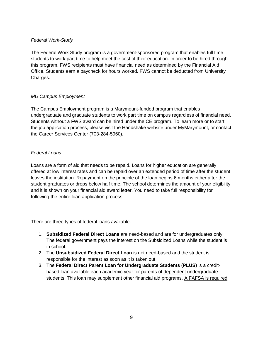#### *Federal Work-Study*

The Federal Work Study program is a government-sponsored program that enables full time students to work part time to help meet the cost of their education. In order to be hired through this program, FWS recipients must have financial need as determined by the Financial Aid Office. Students earn a paycheck for hours worked. FWS cannot be deducted from University Charges.

#### *MU Campus Employment*

The Campus Employment program is a Marymount-funded program that enables undergraduate and graduate students to work part time on campus regardless of financial need. Students without a FWS award can be hired under the CE program. To learn more or to start the job application process, please visit the Handshake website under MyMarymount, or contact the Career Services Center (703-284-5960).

#### *Federal Loans*

Loans are a form of aid that needs to be repaid. Loans for higher education are generally offered at low interest rates and can be repaid over an extended period of time after the student leaves the institution. Repayment on the principle of the loan begins 6 months either after the student graduates or drops below half time. The school determines the amount of your eligibility and it is shown on your financial aid award letter. You need to take full responsibility for following the entire loan application process.

There are three types of federal loans available:

- 1. **Subsidized Federal Direct Loans** are need-based and are for undergraduates only. The federal government pays the interest on the Subsidized Loans while the student is in school.
- 2. The **Unsubsidized Federal Direct Loan** is not need-based and the student is responsible for the interest as soon as it is taken out.
- 3. The **Federal Direct Parent Loan for Undergraduate Students (PLUS)** is a creditbased loan available each academic year for parents of **dependent** undergraduate students. This loan may supplement other financial aid programs. A FAFSA is required.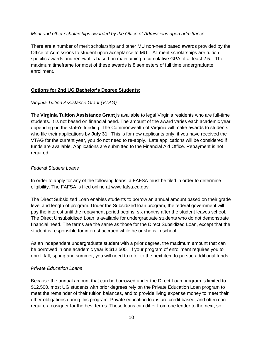#### *Merit and other scholarships awarded by the Office of Admissions upon admittance*

There are a number of merit scholarship and other MU non-need based awards provided by the Office of Admissions to student upon acceptance to MU. All merit scholarships are tuition specific awards and renewal is based on maintaining a cumulative GPA of at least 2.5. The maximum timeframe for most of these awards is 8 semesters of full time undergraduate enrollment.

# **Options for 2nd UG Bachelor's Degree Students:**

# *Virginia Tuition Assistance Grant (VTAG)*

The **[Virginia Tuition Assistance Grant](https://www.marymount.edu/marymount.edu/media/Admissions_media/VTAG-APPLICATION-2019-2020.pdf)** is available to legal Virginia residents who are full-time students. It is not based on financial need. The amount of the award varies each academic year depending on the state's funding. The Commonwealth of Virginia will make awards to students who file their applications by **July 31**. This is for new applicants only, if you have received the VTAG for the current year, you do not need to re-apply. Late applications will be considered if funds are available. Applications are submitted to the Financial Aid Office. Repayment is not required

# *Federal Student Loans*

In order to apply for any of the following loans, a FAFSA must be filed in order to determine eligibility. The FAFSA is filed online at www.fafsa.ed.gov.

The Direct Subsidized Loan enables students to borrow an annual amount based on their grade level and length of program. Under the Subsidized loan program, the federal government will pay the interest until the repayment period begins, six months after the student leaves school. The Direct Unsubsidized Loan is available for undergraduate students who do not demonstrate financial need. The terms are the same as those for the Direct Subsidized Loan, except that the student is responsible for interest accrued while he or she is in school.

As an independent undergraduate student with a prior degree, the maximum amount that can be borrowed in one academic year is \$12,500. If your program of enrollment requires you to enroll fall, spring and summer, you will need to refer to the next item to pursue additional funds.

# *Private Education Loans*

Because the annual amount that can be borrowed under the Direct Loan program is limited to \$12,500, most UG students with prior degrees rely on the Private Education Loan program to meet the remainder of their tuition balances, and to provide living expense money to meet their other obligations during this program. Private education loans are credit based, and often can require a cosigner for the best terms. These loans can differ from one lender to the next, so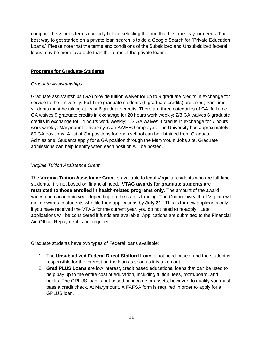compare the various terms carefully before selecting the one that best meets your needs. The best way to get started on a private loan search is to do a Google Search for "Private Education Loans." Please note that the terms and conditions of the Subsidized and Unsubsidized federal loans may be more favorable than the terms of the private loans.

# **Programs for Graduate Students**

# *Graduate Assistantships*

Graduate assistantships (GA) provide tuition waiver for up to 9 graduate credits in exchange for service to the University. Full-time graduate students (9 graduate credits) preferred; Part-time students must be taking at least 6 graduate credits. There are three categories of GA: full time GA waives 9 graduate credits in exchange for 20 hours work weekly; 2/3 GA waives 6 graduate credits in exchange for 14 hours work weekly; 1/3 GA waives 3 credits in exchange for 7 hours work weekly. Marymount University is an AA/EEO employer. The University has approximately 80 GA positions. A list of GA positions for each school can be obtained from Graduate Admissions. Students apply for a GA position through the Marymount Jobs site. Graduate admissions can help identify when each position will be posted.

# *Virginia Tuition Assistance Grant*

The **[Virginia Tuition Assistance Grant](https://www.marymount.edu/marymount.edu/media/Admissions_media/VTAG-APPLICATION-2019-2020.pdf)** is available to legal Virginia residents who are full-time students. It is not based on financial need**. VTAG awards for graduate students are restricted to those enrolled in health-related programs only**. The amount of the award varies each academic year depending on the state's funding. The Commonwealth of Virginia will make awards to students who file their applications by **July 31**. This is for new applicants only, if you have received the VTAG for the current year, you do not need to re-apply. Late applications will be considered if funds are available. Applications are submitted to the Financial Aid Office. Repayment is not required.

Graduate students have two types of Federal loans available:

- 1. The **Unsubsidized Federal Direct Stafford Loan** is not need-based, and the student is responsible for the interest on the loan as soon as it is taken out.
- 2. **Grad PLUS Loans** are low interest, credit based educational loans that can be used to help pay up to the entire cost of education, including tuition, fees, room/board, and books. The GPLUS loan is not based on income or assets; however, to qualify you must pass a credit check. At Marymount, A FAFSA form is required in order to apply for a GPLUS loan.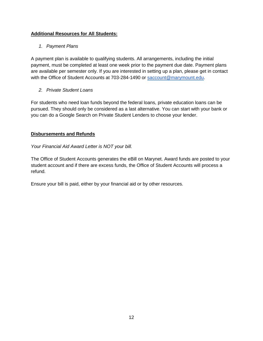# **Additional Resources for All Students:**

# *1. Payment Plans*

A payment plan is available to qualifying students. All arrangements, including the initial payment, must be completed at least one week prior to the payment due date. Payment plans are available per semester only. If you are interested in setting up a plan, please get in contact with the Office of Student Accounts at 703-284-1490 or [saccount@marymount.edu.](mailto:saccount@marymount.edu)

# *2. Private Student Loans*

For students who need loan funds beyond the federal loans, private education loans can be pursued. They should only be considered as a last alternative. You can start with your bank or you can do a Google Search on Private Student Lenders to choose your lender.

# **Disbursements and Refunds**

# *Your Financial Aid Award Letter is NOT your bill.*

The Office of Student Accounts generates the eBill on Marynet. Award funds are posted to your student account and if there are excess funds, the Office of Student Accounts will process a refund.

Ensure your bill is paid, either by your financial aid or by other resources.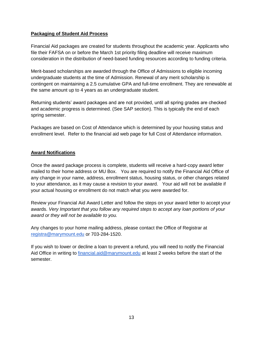# **Packaging of Student Aid Process**

Financial Aid packages are created for students throughout the academic year. Applicants who file their FAFSA on or before the March 1st priority filing deadline will receive maximum consideration in the distribution of need-based funding resources according to funding criteria.

Merit-based scholarships are awarded through the Office of Admissions to eligible incoming undergraduate students at the time of Admission. Renewal of any merit scholarship is contingent on maintaining a 2.5 cumulative GPA and full-time enrollment. They are renewable at the same amount up to 4 years as an undergraduate student.

Returning students' award packages and are not provided, until all spring grades are checked and academic progress is determined. (See SAP section). This is typically the end of each spring semester.

Packages are based on Cost of Attendance which is determined by your housing status and enrollment level. Refer to the financial aid web page for full Cost of Attendance information.

#### **Award Notifications**

Once the award package process is complete, students will receive a hard-copy award letter mailed to their home address or MU Box. You are required to notify the Financial Aid Office of any change in your name, address, enrollment status, housing status, or other changes related to your attendance, as it may cause a revision to your award. Your aid will not be available if your actual housing or enrollment do not match what you were awarded for.

Review your Financial Aid Award Letter and follow the steps on your award letter to accept your awards. *Very Important that you follow any required steps to accept any loan portions of your award or they will not be available to you.* 

Any changes to your home mailing address, please contact the Office of Registrar at [registra@marymount.edu](mailto:registra@marymount.edu) or 703-284-1520.

If you wish to lower or decline a loan to prevent a refund, you will need to notify the Financial Aid Office in writing to [financial.aid@marymount.edu](mailto:financial.aid@marymount.edu) at least 2 weeks before the start of the semester.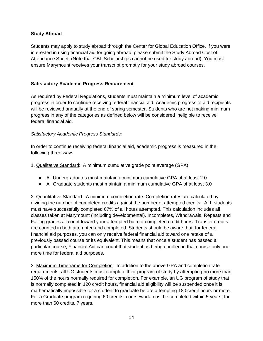# **Study Abroad**

Students may apply to study abroad through the Center for Global Education Office. If you were interested in using financial aid for going abroad, please submit the Study Abroad Cost of Attendance Sheet. (Note that CBL Scholarships cannot be used for study abroad). You must ensure Marymount receives your transcript promptly for your study abroad courses.

# **Satisfactory Academic Progress Requirement**

As required by Federal Regulations, students must maintain a minimum level of academic progress in order to continue receiving federal financial aid. Academic progress of aid recipients will be reviewed annually at the end of spring semester. Students who are not making minimum progress in any of the categories as defined below will be considered ineligible to receive federal financial aid.

#### *Satisfactory Academic Progress Standards:*

In order to continue receiving federal financial aid, academic progress is measured in the following three ways:

1. Qualitative Standard: A minimum cumulative grade point average (GPA)

- All Undergraduates must maintain a minimum cumulative GPA of at least 2.0
- All Graduate students must maintain a minimum cumulative GPA of at least 3.0

2. Quantitative Standard: A minimum completion rate. Completion rates are calculated by dividing the number of completed credits against the number of attempted credits. ALL students must have successfully completed 67% of all hours attempted. This calculation includes all classes taken at Marymount (including developmental). Incompletes, Withdrawals, Repeats and Failing grades all count toward your attempted but not completed credit hours. Transfer credits are counted in both attempted and completed. Students should be aware that, for federal financial aid purposes, you can only receive federal financial aid toward one retake of a previously passed course or its equivalent. This means that once a student has passed a particular course, Financial Aid can count that student as being enrolled in that course only one more time for federal aid purposes.

3. Maximum Timeframe for Completion: In addition to the above GPA and completion rate requirements, all UG students must complete their program of study by attempting no more than 150% of the hours normally required for completion. For example, an UG program of study that is normally completed in 120 credit hours, financial aid eligibility will be suspended once it is mathematically impossible for a student to graduate before attempting 180 credit hours or more. For a Graduate program requiring 60 credits, coursework must be completed within 5 years; for more than 60 credits, 7 years.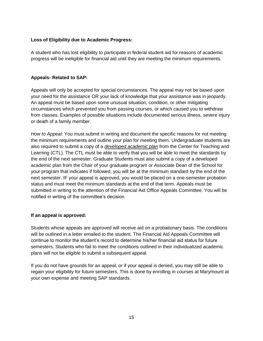#### **Loss of Eligibility due to Academic Progress:**

A student who has lost eligibility to participate in federal student aid for reasons of academic progress will be ineligible for financial aid until they are meeting the minimum requirements.

#### **Appeals- Related to SAP:**

Appeals will only be accepted for special circumstances. The appeal may not be based upon your need for the assistance OR your lack of knowledge that your assistance was in jeopardy. An appeal must be based upon some unusual situation, condition, or other mitigating circumstances which prevented you from passing courses, or which caused you to withdraw from classes. Examples of possible situations include documented serious illness, severe injury or death of a family member.

*How to Appeal*: You must submit in writing and document the specific reasons for not meeting the minimum requirements and outline your plan for meeting them. Undergraduate students are also required to submit a copy of a *developed academic plan* from the Center for Teaching and Learning (CTL). The CTL must be able to verify that you will be able to meet the standards by the end of the next semester. Graduate Students must also submit a copy of a developed academic plan from the Chair of your graduate program or Associate Dean of the School for your program that indicates if followed, you will be at the minimum standard by the end of the next semester. IF your appeal is approved, you would be placed on a one-semester probation status and must meet the minimum standards at the end of that term. Appeals must be submitted in writing to the attention of the Financial Aid Office Appeals Committee. You will be notified in writing of the committee's decision.

#### **If an appeal is approved:**

Students whose appeals are approved will receive aid on a probationary basis. The conditions will be outlined in a letter emailed to the student. The Financial Aid Appeals Committee will continue to monitor the student's record to determine his/her financial aid status for future semesters. Students who fail to meet the conditions outlined in their individualized academic plans will not be eligible to submit a subsequent appeal.

If you do not have grounds for an appeal, or if your appeal is denied, you may still be able to regain your eligibility for future semesters. This is done by enrolling in courses at Marymount at your own expense and meeting SAP standards.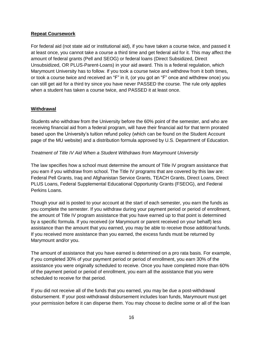### **Repeat Coursework**

For federal aid (not state aid or institutional aid), if you have taken a course twice, and passed it at least once, you cannot take a course a third time and get federal aid for it. This may affect the amount of federal grants (Pell and SEOG) or federal loans (Direct Subsidized, Direct Unsubsidized, OR PLUS-Parent-Loans) in your aid award. This is a federal regulation, which Marymount University has to follow. If you took a course twice and withdrew from it both times, or took a course twice and received an "F" in it, (or you got an "F" once and withdrew once) you can still get aid for a third try since you have never PASSED the course. The rule only applies when a student has taken a course twice, and PASSED it at least once.

#### **Withdrawal**

Students who withdraw from the University before the 60% point of the semester, and who are receiving financial aid from a federal program, will have their financial aid for that term prorated based upon the University's tuition refund policy (which can be found on the Student Account page of the MU website) and a distribution formula approved by U.S. Department of Education.

#### *Treatment of Title IV Aid When a Student Withdraws from Marymount University*

The law specifies how a school must determine the amount of Title IV program assistance that you earn if you withdraw from school. The Title IV programs that are covered by this law are: Federal Pell Grants, Iraq and Afghanistan Service Grants, TEACH Grants, Direct Loans, Direct PLUS Loans, Federal Supplemental Educational Opportunity Grants (FSEOG), and Federal Perkins Loans.

Though your aid is posted to your account at the start of each semester, you earn the funds as you complete the semester. If you withdraw during your payment period or period of enrollment, the amount of Title IV program assistance that you have earned up to that point is determined by a specific formula. If you received (or Marymount or parent received on your behalf) less assistance than the amount that you earned, you may be able to receive those additional funds. If you received more assistance than you earned, the excess funds must be returned by Marymount and/or you.

The amount of assistance that you have earned is determined on a pro rata basis. For example, if you completed 30% of your payment period or period of enrollment, you earn 30% of the assistance you were originally scheduled to receive. Once you have completed more than 60% of the payment period or period of enrollment, you earn all the assistance that you were scheduled to receive for that period.

If you did not receive all of the funds that you earned, you may be due a post-withdrawal disbursement. If your post-withdrawal disbursement includes loan funds, Marymount must get your permission before it can disperse them. You may choose to decline some or all of the loan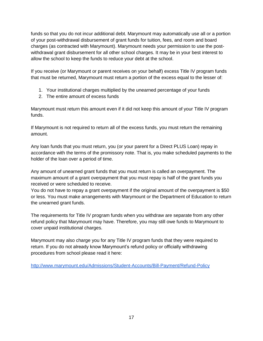funds so that you do not incur additional debt. Marymount may automatically use all or a portion of your post-withdrawal disbursement of grant funds for tuition, fees, and room and board charges (as contracted with Marymount). Marymount needs your permission to use the postwithdrawal grant disbursement for all other school charges. It may be in your best interest to allow the school to keep the funds to reduce your debt at the school.

If you receive (or Marymount or parent receives on your behalf) excess Title IV program funds that must be returned, Marymount must return a portion of the excess equal to the lesser of:

- 1. Your institutional charges multiplied by the unearned percentage of your funds
- 2. The entire amount of excess funds

Marymount must return this amount even if it did not keep this amount of your Title IV program funds.

If Marymount is not required to return all of the excess funds, you must return the remaining amount.

Any loan funds that you must return, you (or your parent for a Direct PLUS Loan) repay in accordance with the terms of the promissory note. That is, you make scheduled payments to the holder of the loan over a period of time.

Any amount of unearned grant funds that you must return is called an overpayment. The maximum amount of a grant overpayment that you must repay is half of the grant funds you received or were scheduled to receive.

You do not have to repay a grant overpayment if the original amount of the overpayment is \$50 or less. You must make arrangements with Marymount or the Department of Education to return the unearned grant funds.

The requirements for Title IV program funds when you withdraw are separate from any other refund policy that Marymount may have. Therefore, you may still owe funds to Marymount to cover unpaid institutional charges.

Marymount may also charge you for any Title IV program funds that they were required to return. If you do not already know Marymount's refund policy or officially withdrawing procedures from school please read it here:

<http://www.marymount.edu/Admissions/Student-Accounts/Bill-Payment/Refund-Policy>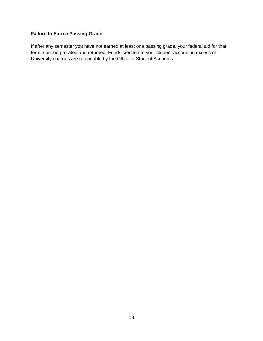# **Failure to Earn a Passing Grade**

If after any semester you have not earned at least one passing grade, your federal aid for that term must be prorated and returned. Funds credited to your student account in excess of University charges are refundable by the Office of Student Accounts.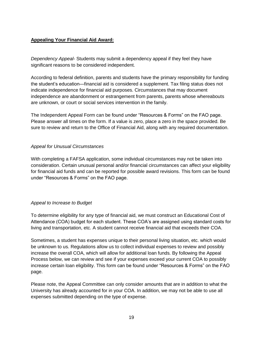# **Appealing Your Financial Aid Award:**

*Dependency Appeal-* Students may submit a dependency appeal if they feel they have significant reasons to be considered independent.

According to federal definition, parents and students have the primary responsibility for funding the student's education—financial aid is considered a supplement. Tax filing status does not indicate independence for financial aid purposes. Circumstances that may document independence are abandonment or estrangement from parents, parents whose whereabouts are unknown, or court or social services intervention in the family.

The Independent Appeal Form can be found under "Resources & Forms" on the FAO page. Please answer all times on the form. If a value is zero, place a zero in the space provided. Be sure to review and return to the Office of Financial Aid, along with any required documentation.

#### *Appeal for Unusual Circumstances*

With completing a FAFSA application, some individual circumstances may not be taken into consideration. Certain unusual personal and/or financial circumstances can affect your eligibility for financial aid funds and can be reported for possible award revisions. This form can be found under "Resources & Forms" on the FAO page.

# *Appeal to Increase to Budget*

To determine eligibility for any type of financial aid, we must construct an Educational Cost of Attendance (COA) budget for each student. These COA's are assigned using standard costs for living and transportation, etc. A student cannot receive financial aid that exceeds their COA.

Sometimes, a student has expenses unique to their personal living situation, etc. which would be unknown to us. Regulations allow us to collect individual expenses to review and possibly increase the overall COA, which will allow for additional loan funds. By following the Appeal Process below, we can review and see if your expenses exceed your current COA to possibly increase certain loan eligibility. This form can be found under "Resources & Forms" on the FAO page.

Please note, the Appeal Committee can only consider amounts that are in addition to what the University has already accounted for in your COA. In addition, we may not be able to use all expenses submitted depending on the type of expense.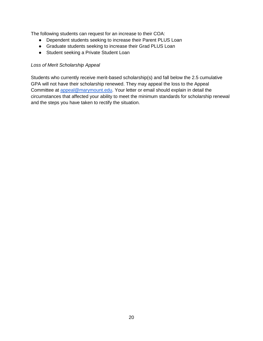The following students can request for an increase to their COA:

- Dependent students seeking to increase their Parent PLUS Loan
- Graduate students seeking to increase their Grad PLUS Loan
- Student seeking a Private Student Loan

#### *Loss of Merit Scholarship Appeal*

Students who currently receive merit-based scholarship(s) and fall below the 2.5 cumulative GPA will not have their scholarship renewed. They may appeal the loss to the Appeal Committee at [appeal@marymount.edu.](mailto:appeal@marymount.edu) Your letter or email should explain in detail the circumstances that affected your ability to meet the minimum standards for scholarship renewal and the steps you have taken to rectify the situation.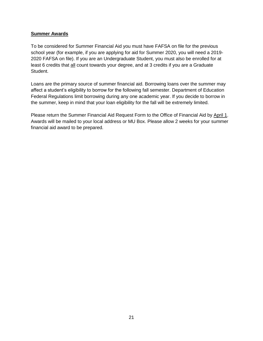#### **Summer Awards**

To be considered for Summer Financial Aid you must have FAFSA on file for the previous school year (for example, if you are applying for aid for Summer 2020, you will need a 2019- 2020 FAFSA on file). If you are an Undergraduate Student, you must also be enrolled for at least 6 credits that all count towards your degree, and at 3 credits if you are a Graduate Student.

Loans are the primary source of summer financial aid. Borrowing loans over the summer may affect a student's eligibility to borrow for the following fall semester. Department of Education Federal Regulations limit borrowing during any one academic year. If you decide to borrow in the summer, keep in mind that your loan eligibility for the fall will be extremely limited.

Please return the Summer Financial Aid Request Form to the Office of Financial Aid by April 1. Awards will be mailed to your local address or MU Box. Please allow 2 weeks for your summer financial aid award to be prepared.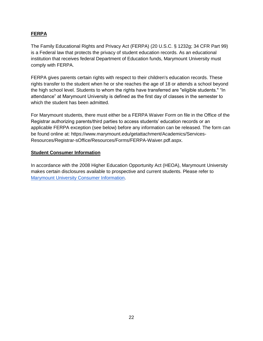# **FERPA**

The Family Educational Rights and Privacy Act (FERPA) (20 U.S.C. § 1232g; 34 CFR Part 99) is a Federal law that protects the privacy of student education records. As an educational institution that receives federal Department of Education funds, Marymount University must comply with FERPA.

FERPA gives parents certain rights with respect to their children's education records. These rights transfer to the student when he or she reaches the age of 18 or attends a school beyond the high school level. Students to whom the rights have transferred are "eligible students." "In attendance" at Marymount University is defined as the first day of classes in the semester to which the student has been admitted.

For Marymount students, there must either be a FERPA Waiver Form on file in the Office of the Registrar authorizing parents/third parties to access students' education records or an applicable FERPA exception (see below) before any information can be released. The form can be found online at: https://www.marymount.edu/getattachment/Academics/Services-Resources/Registrar-sOffice/Resources/Forms/FERPA-Waiver.pdf.aspx.

#### **Student Consumer Information**

In accordance with the 2008 Higher Education Opportunity Act (HEOA), Marymount University makes certain disclosures available to prospective and current students. Please refer to [Marymount University Consumer Information.](https://www.marymount.edu/Home/Faculty-and-Staff/Office-of-Planning-Institutional-Effectiveness/General-Institutional-Information/Consumer-Information)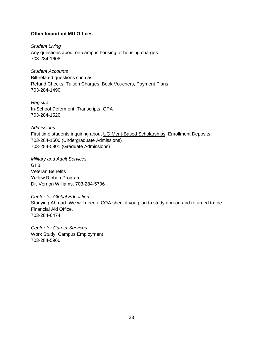#### **Other Important MU Offices**

*Student Living*  Any questions about on-campus housing or housing charges 703-284-1608

*Student Accounts* Bill-related questions such as: Refund Checks, Tuition Charges, Book Vouchers, Payment Plans 703-284-1490

*Registrar* In-School Deferment, Transcripts, GPA 703-284-1520

*Admissions*  First time students inquiring about UG Merit-Based Scholarships, Enrollment Deposits 703-284-1500 (Undergraduate Admissions) 703-284-5901 (Graduate Admissions)

*Military and Adult Services* GI Bill Veteran Benefits Yellow Ribbon Program Dr. Vernon Williams, 703-284-5796

*Center for Global Education*  Studying Abroad- We will need a COA sheet if you plan to study abroad and returned to the Financial Aid Office. 703-284-6474

*Center for Career Services* Work Study, Campus Employment 703-284-5960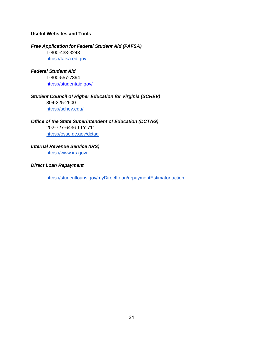# **Useful Websites and Tools**

#### *Free Application for Federal Student Aid (FAFSA)*

1-800-433-3243 [https://fafsa.ed.gov](https://fafsa.ed.gov/)

#### *Federal Student Aid*

1-800-557-7394 <https://studentaid.gov/>

# *Student Council of Higher Education for Virginia (SCHEV)* 804-225-2600 <https://schev.edu/>

#### *Office of the State Superintendent of Education (DCTAG)*

202-727-6436 TTY:711 <https://osse.dc.gov/dctag>

# *Internal Revenue Service (IRS)*

<https://www.irs.gov/>

#### *Direct Loan Repayment*

<https://studentloans.gov/myDirectLoan/repaymentEstimator.action>